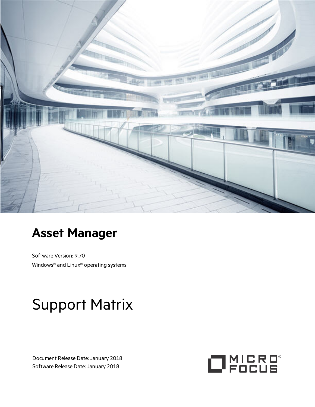

# **Asset Manager**

Software Version: 9.70 Windows® and Linux® operating systems

# Support Matrix

Document Release Date: January 2018 Software Release Date: January 2018

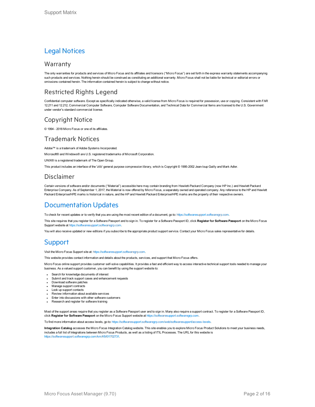### Legal Notices

#### **Warranty**

The only warranties for products and services of Micro Focus and its affiliates and licensors ("Micro Focus") are set forth in the express warranty statements accompanying such products and services. Nothing herein should be construed as constituting an additional warranty. Micro Focus shall not be liable for technical or editorial errors or omissions contained herein. The information contained herein is subject to change without notice.

#### Restricted Rights Legend

Confidential computer software. Except as specifically indicated otherwise, a valid license from Micro Focus is required for possession, use or copying. Consistent with FAR 12.211 and 12.212, Commercial Computer Software, Computer Software Documentation, and Technical Data for Commercial Items are licensed to the U.S. Government under vendor's standard commercial license.

#### Copyright Notice

© 1994 - 2018 Micro Focus or one of its affiliates.

#### Trademark Notices

Adobe™ is a trademark of Adobe Systems Incorporated.

Microsoft® and Windows® are U.S. registered trademarks of Microsoft Corporation.

UNIX® is a registered trademark of The Open Group.

This product includes an interface of the 'zlib' general purpose compression library, which is Copyright © 1995-2002 Jean-loup Gailly and Mark Adler.

#### Disclaimer

Certain versions of software and/or documents ("Material") accessible here may contain branding from Hewlett-Packard Company (now HP Inc.) and Hewlett Packard Enterprise Company. As of September 1, 2017, the Material is now offered by Micro Focus, a separately owned and operated company. Any reference to the HP and Hewlett Packard Enterprise/HPE marks is historical in nature, and the HP and Hewlett Packard Enterprise/HPE marks are the property of their respective owners.

### Documentation Updates

To check for recent updates or to verify that you are using the most recent edition of a document, go to: [https://softwaresupport.softwaregrp.com.](https://softwaresupport.softwaregrp.com/)

This site requires that you register for a Software Passport and to sign in. To register for a Software Passport ID, click **Register for Software Passport** on the Micro Focus Support website at [https://softwaresupport.softwaregrp.com.](https://softwaresupport.softwaregrp.com/)

You will also receive updated or new editions if you subscribe to the appropriate product support service. Contact your Micro Focus sales representative for details.

### **Support**

Visit the Micro Focus Support site at: [https://softwaresupport.softwaregrp.com](https://softwaresupport.softwaregrp.com/).

This website provides contact information and details about the products, services, and support that Micro Focus offers.

Micro Focus online support provides customer self-solve capabilities. It provides a fast and efficient way to access interactive technical support tools needed to manage your business. As a valued support customer, you can benefit by using the support website to:

- Search for knowledge documents of interest
- Submit and track support cases and enhancement requests
- Download software patches
- Manage support contracts - Look up support contacts
- <sup>l</sup> Review information about available services
- Enter into discussions with other software customers
- Research and register for software training

Most of the support areas require that you register as a Software Passport user and to sign in. Many also require a support contract. To register for a Software Passport ID, click **Register for Software Passport** on the Micro Focus Support website at [https://softwaresupport.softwaregrp.com](https://softwaresupport.softwaregrp.com/).

To find more information about access levels, go to: [https://softwaresupport.softwaregrp.com/web/softwaresupport/access-levels.](https://softwaresupport.softwaregrp.com/web/softwaresupport/access-levels)

**Integration Catalog** accesses the Micro Focus Integration Catalog website. This site enables you to explore Micro Focus Product Solutions to meet your business needs, includes a full list of Integrations between Micro Focus Products, as well as a listing of ITIL Processes. The URL for this website is [https://softwaresupport.softwaregrp.com/km/KM01702731.](https://softwaresupport.softwaregrp.com/km/KM01702731)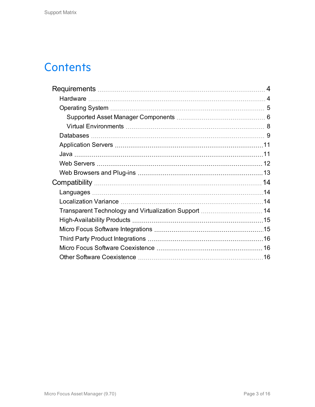# **Contents**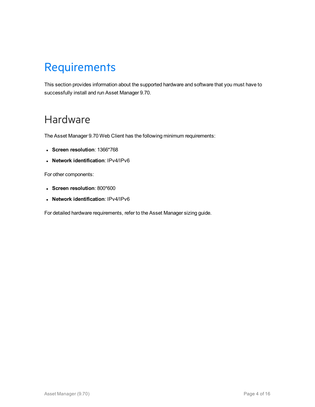# <span id="page-3-0"></span>**Requirements**

This section provides information about the supported hardware and software that you must have to successfully install and run Asset Manager 9.70.

# <span id="page-3-1"></span>Hardware

The Asset Manager 9.70 Web Client has the following minimum requirements:

- <sup>l</sup> **Screen resolution**: 1366\*768
- <sup>l</sup> **Network identification**: IPv4/IPv6

For other components:

- <sup>l</sup> **Screen resolution**: 800\*600
- <sup>l</sup> **Network identification**: IPv4/IPv6

For detailed hardware requirements, refer to the Asset Manager sizing guide.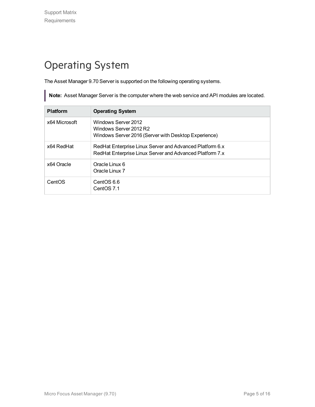# <span id="page-4-0"></span>Operating System

The Asset Manager 9.70 Server is supported on the following operating systems.

**Note:** Asset Manager Server is the computer where the web service and API modules are located.

| <b>Platform</b> | <b>Operating System</b>                                                                                              |
|-----------------|----------------------------------------------------------------------------------------------------------------------|
| x64 Microsoft   | Windows Server 2012<br>Windows Server 2012 R2<br>Windows Server 2016 (Server with Desktop Experience)                |
| x64 RedHat      | RedHat Enterprise Linux Server and Advanced Platform 6.x<br>RedHat Enterprise Linux Server and Advanced Platform 7.x |
| x64 Oracle      | Oracle Linux 6<br>Oracle Linux 7                                                                                     |
| CentOS          | CentOS 6.6<br>CentOS 7.1                                                                                             |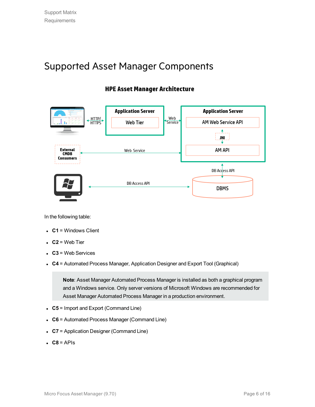### <span id="page-5-0"></span>Supported Asset Manager Components

### **HPE Asset Manager Architecture**



In the following table:

- $\bullet$  **C1** = Windows Client
- $\cdot$  **C2** = Web Tier
- $\cdot$   $C3$  = Web Services
- C4 = Automated Process Manager, Application Designer and Export Tool (Graphical)

**Note**: Asset Manager Automated Process Manager is installed as both a graphical program and a Windows service. Only server versions of Microsoft Windows are recommended for Asset Manager Automated Process Manager in a production environment.

- C5 = Import and Export (Command Line)
- **C6** = Automated Process Manager (Command Line)
- **C7** = Application Designer (Command Line)
- $\cdot$  **C8** = APIs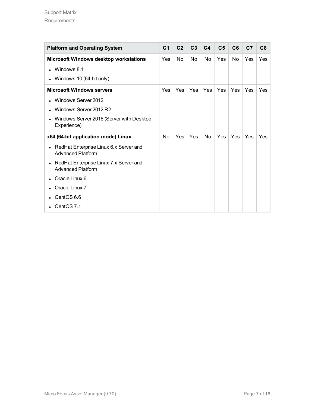| <b>Platform and Operating System</b>                                            | C <sub>1</sub> | C <sub>2</sub> | C <sub>3</sub> | C <sub>4</sub> | C <sub>5</sub> | C6         | C <sub>7</sub> | C8  |
|---------------------------------------------------------------------------------|----------------|----------------|----------------|----------------|----------------|------------|----------------|-----|
| Microsoft Windows desktop workstations                                          | Yes            | No             | <b>No</b>      | No             | Yes            | No.        | Yes            | Yes |
| Windows 8.1<br>$\bullet$                                                        |                |                |                |                |                |            |                |     |
| Windows 10 (64-bit only)<br>$\bullet$                                           |                |                |                |                |                |            |                |     |
| <b>Microsoft Windows servers</b>                                                | Yes            | Yes            | Yes            | Yes            | Yes            | <b>Yes</b> | Yes            | Yes |
| Windows Server 2012<br>$\bullet$                                                |                |                |                |                |                |            |                |     |
| Windows Server 2012 R2<br>$\bullet$                                             |                |                |                |                |                |            |                |     |
| Windows Server 2016 (Server with Desktop<br>$\bullet$<br>Experience)            |                |                |                |                |                |            |                |     |
| x64 (64-bit application mode) Linux                                             | No             | Yes            | Yes            | No             | Yes            | Yes        | Yes            | Yes |
| RedHat Enterprise Linux 6.x Server and<br>$\bullet$<br><b>Advanced Platform</b> |                |                |                |                |                |            |                |     |
| RedHat Enterprise Linux 7.x Server and<br>$\bullet$<br><b>Advanced Platform</b> |                |                |                |                |                |            |                |     |
| Oracle Linux 6<br>$\bullet$                                                     |                |                |                |                |                |            |                |     |
| Oracle Linux 7                                                                  |                |                |                |                |                |            |                |     |
| CentOS 6.6                                                                      |                |                |                |                |                |            |                |     |
| CentOS 7.1                                                                      |                |                |                |                |                |            |                |     |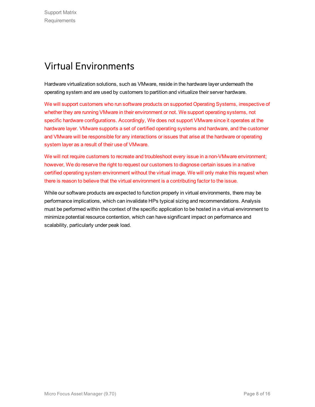### <span id="page-7-0"></span>Virtual Environments

Hardware virtualization solutions, such as VMware, reside in the hardware layer underneath the operating system and are used by customers to partition and virtualize their server hardware.

We will support customers who run software products on supported Operating Systems, irrespective of whether they are running VMware in their environment or not. We support operating systems, not specific hardware configurations. Accordingly, We does not support VMware since it operates at the hardware layer. VMware supports a set of certified operating systems and hardware, and the customer and VMware will be responsible for any interactions or issues that arise at the hardware or operating system layer as a result of their use of VMware.

We will not require customers to recreate and troubleshoot every issue in a non-VMware environment; however, We do reserve the right to request our customers to diagnose certain issues in a native certified operating system environment without the virtual image. We will only make this request when there is reason to believe that the virtual environment is a contributing factor to the issue.

While our software products are expected to function properly in virtual environments, there may be performance implications, which can invalidate HPs typical sizing and recommendations. Analysis must be performed within the context of the specific application to be hosted in a virtual environment to minimize potential resource contention, which can have significant impact on performance and scalability, particularly under peak load.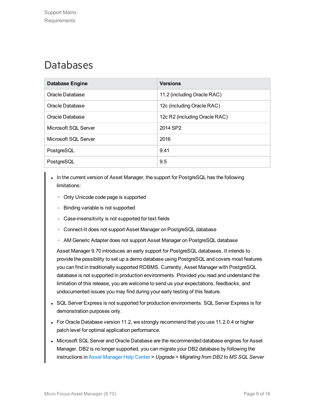## <span id="page-8-0"></span>Databases

| <b>Database Engine</b> | <b>Versions</b>               |
|------------------------|-------------------------------|
| Oracle Database        | 11.2 (including Oracle RAC)   |
| Oracle Database        | 12c (including Oracle RAC)    |
| Oracle Database        | 12c R2 (including Oracle RAC) |
| Microsoft SQL Server   | 2014 SP2                      |
| Microsoft SQL Server   | 2016                          |
| PostgreSQL             | 9.41                          |
| PostgreSQL             | 9.5                           |

- In the current version of Asset Manager, the support for PostgreSQL has the following limitations:
	- <sup>o</sup> Only Unicode code page is supported
	- <sup>o</sup> Binding variable is not supported
	- <sup>o</sup> Case-insensitivity is not supported for text fields
	- <sup>o</sup> Connect-It does not support Asset Manager on PostgreSQL database
	- <sup>o</sup> AM Generic Adapter does not support Asset Manager on PostgreSQL database

Asset Manager 9.70 introduces an early support for PostgreSQL databases. It intends to provide the possibility to set up a demo database using PostgreSQL and covers most features you can find in traditionally supported RDBMS. Currently, Asset Manager with PostgreSQL database is not supported in production environments. Provided you read and understand the limitation of this release, you are welcome to send us your expectations, feedbacks, and undocumented issues you may find during your early testing of this feature.

- SQL Server Express is not supported for production environments. SQL Server Express is for demonstration purposes only.
- For Oracle Database version 11.2, we strongly recommend that you use 11.2.0.4 or higher patch level for optimal application performance.
- Microsoft SQL Server and Oracle Database are the recommended database engines for Asset Manager. DB2 is no longer supported, you can migrate your DB2 database by following the instructions in Asset [Manager](https://docs.microfocus.com/?query=asset%20manager) Help Center > *Upgrade* > *Migrating from DB2 to MS SQL Server*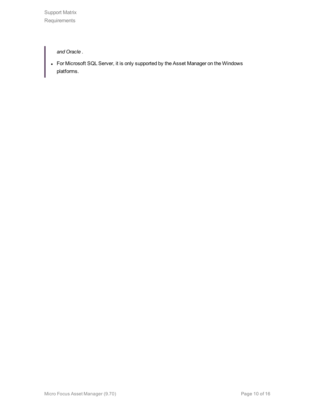Support Matrix Requirements

*and Oracle* .

• For Microsoft SQL Server, it is only supported by the Asset Manager on the Windows platforms.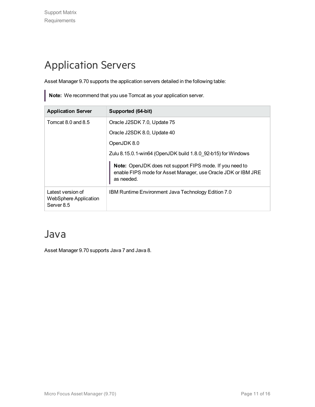# <span id="page-10-0"></span>Application Servers

Asset Manager 9.70 supports the application servers detailed in the following table:

**Note:** We recommend that you use Tomcat as your application server.

| <b>Application Server</b>                                       | Supported (64-bit)                                                                                                                      |
|-----------------------------------------------------------------|-----------------------------------------------------------------------------------------------------------------------------------------|
| Tomcat 8.0 and 8.5                                              | Oracle J2SDK 7.0, Update 75                                                                                                             |
|                                                                 | Oracle J2SDK 8.0, Update 40                                                                                                             |
|                                                                 | OpenJDK 8.0                                                                                                                             |
|                                                                 | Zulu 8.15.0.1-win64 (OpenJDK build 1.8.0 92-b15) for Windows                                                                            |
|                                                                 | Note: OpenJDK does not support FIPS mode. If you need to<br>enable FIPS mode for Asset Manager, use Oracle JDK or IBM JRE<br>as needed. |
| Latest version of<br><b>WebSphere Application</b><br>Server 8.5 | IBM Runtime Environment Java Technology Edition 7.0                                                                                     |

### <span id="page-10-1"></span>Java

Asset Manager 9.70 supports Java 7 and Java 8.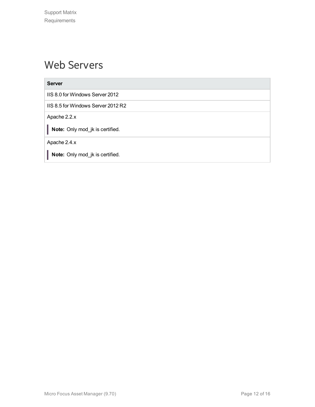## <span id="page-11-0"></span>Web Servers

#### **Server**

IIS 8.0 for Windows Server 2012

IIS 8.5 for Windows Server 2012 R2

Apache 2.2.x

**Note:** Only mod\_jk is certified.

Apache 2.4.x

**Note:** Only mod\_jk is certified.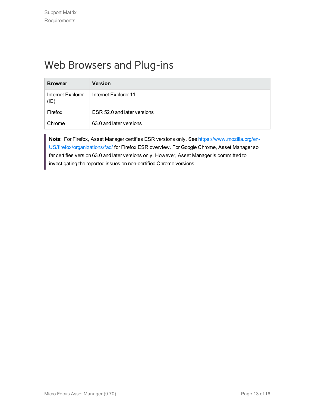# <span id="page-12-0"></span>Web Browsers and Plug-ins

| <b>Browser</b>            | <b>Version</b>              |
|---------------------------|-----------------------------|
| Internet Explorer<br>(IE) | Internet Explorer 11        |
| Firefox                   | ESR 52.0 and later versions |
| Chrome                    | 63.0 and later versions     |

**Note:** For Firefox, Asset Manager certifies ESR versions only. See [https://www.mozilla.org/en-](https://www.mozilla.org/en-US/firefox/organizations/faq/)[US/firefox/organizations/faq/](https://www.mozilla.org/en-US/firefox/organizations/faq/) for Firefox ESR overview. For Google Chrome, Asset Manager so far certifies version 63.0 and later versions only. However, Asset Manager is committed to investigating the reported issues on non-certified Chrome versions.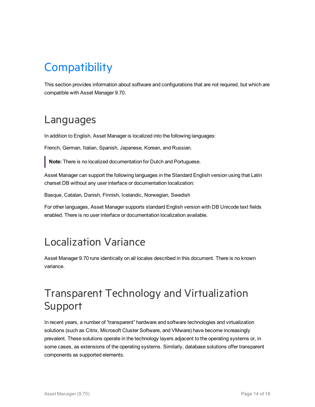# <span id="page-13-0"></span>**Compatibility**

This section provides information about software and configurations that are not required, but which are compatible with Asset Manager 9.70.

### <span id="page-13-1"></span>Languages

In addition to English, Asset Manager is localized into the following languages:

French, German, Italian, Spanish, Japanese, Korean, and Russian.

**Note:** There is no localized documentation for Dutch and Portuguese.

Asset Manager can support the following languages in the Standard English version using that Latin charset DB without any user interface or documentation localization:

Basque, Catalan, Danish, Finnish, Icelandic, Norwegian, Swedish

For other languages, Asset Manager supports standard English version with DB Unicode text fields enabled. There is no user interface or documentation localization available.

### <span id="page-13-2"></span>Localization Variance

Asset Manager 9.70 runs identically on all locales described in this document. There is no known variance.

# <span id="page-13-3"></span>Transparent Technology and Virtualization Support

In recent years, a number of "transparent" hardware and software technologies and virtualization solutions (such as Citrix, Microsoft Cluster Software, and VMware) have become increasingly prevalent. These solutions operate in the technology layers adjacent to the operating systems or, in some cases, as extensions of the operating systems. Similarly, database solutions offer transparent components as supported elements.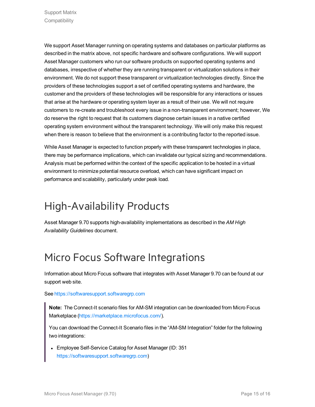We support Asset Manager running on operating systems and databases on particular platforms as described in the matrix above, not specific hardware and software configurations. We will support Asset Manager customers who run our software products on supported operating systems and databases, irrespective of whether they are running transparent or virtualization solutions in their environment. We do not support these transparent or virtualization technologies directly. Since the providers of these technologies support a set of certified operating systems and hardware, the customer and the providers of these technologies will be responsible for any interactions or issues that arise at the hardware or operating system layer as a result of their use. We will not require customers to re-create and troubleshoot every issue in a non-transparent environment; however, We do reserve the right to request that its customers diagnose certain issues in a native certified operating system environment without the transparent technology. We will only make this request when there is reason to believe that the environment is a contributing factor to the reported issue.

While Asset Manager is expected to function properly with these transparent technologies in place, there may be performance implications, which can invalidate our typical sizing and recommendations. Analysis must be performed within the context of the specific application to be hosted in a virtual environment to minimize potential resource overload, which can have significant impact on performance and scalability, particularly under peak load.

# <span id="page-14-0"></span>High-Availability Products

Asset Manager 9.70 supports high-availability implementations as described in the *AM High Availability Guidelines* document.

# <span id="page-14-1"></span>Micro Focus Software Integrations

Information about Micro Focus software that integrates with Asset Manager 9.70 can be found at our support web site.

#### See [https://softwaresupport.softwaregrp.com](https://softwaresupport.softwaregrp.com/)

**Note:** The Connect-It scenario files for AM-SM integration can be downloaded from Micro Focus Marketplace [\(https://marketplace.microfocus.com/\)](https://marketplace.microfocus.com/).

You can download the Connect-It Scenario files in the "AM-SM Integration" folder for the following two integrations:

• Employee Self-Service Catalog for Asset Manager (ID: 351 [https://softwaresupport.softwaregrp.com](https://softwaresupport.softwaregrp.com/))